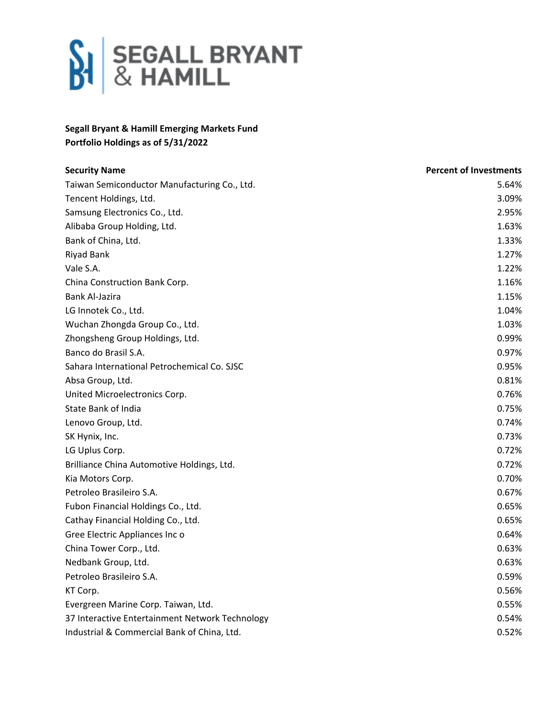

## **Segall Bryant & Hamill Emerging Markets Fund Portfolio Holdings as of 5/31/2022**

| <b>Security Name</b>                            | <b>Percent of Investments</b> |
|-------------------------------------------------|-------------------------------|
| Taiwan Semiconductor Manufacturing Co., Ltd.    | 5.64%                         |
| Tencent Holdings, Ltd.                          | 3.09%                         |
| Samsung Electronics Co., Ltd.                   | 2.95%                         |
| Alibaba Group Holding, Ltd.                     | 1.63%                         |
| Bank of China, Ltd.                             | 1.33%                         |
| <b>Riyad Bank</b>                               | 1.27%                         |
| Vale S.A.                                       | 1.22%                         |
| China Construction Bank Corp.                   | 1.16%                         |
| <b>Bank Al-Jazira</b>                           | 1.15%                         |
| LG Innotek Co., Ltd.                            | 1.04%                         |
| Wuchan Zhongda Group Co., Ltd.                  | 1.03%                         |
| Zhongsheng Group Holdings, Ltd.                 | 0.99%                         |
| Banco do Brasil S.A.                            | 0.97%                         |
| Sahara International Petrochemical Co. SJSC     | 0.95%                         |
| Absa Group, Ltd.                                | 0.81%                         |
| United Microelectronics Corp.                   | 0.76%                         |
| <b>State Bank of India</b>                      | 0.75%                         |
| Lenovo Group, Ltd.                              | 0.74%                         |
| SK Hynix, Inc.                                  | 0.73%                         |
| LG Uplus Corp.                                  | 0.72%                         |
| Brilliance China Automotive Holdings, Ltd.      | 0.72%                         |
| Kia Motors Corp.                                | 0.70%                         |
| Petroleo Brasileiro S.A.                        | 0.67%                         |
| Fubon Financial Holdings Co., Ltd.              | 0.65%                         |
| Cathay Financial Holding Co., Ltd.              | 0.65%                         |
| Gree Electric Appliances Inc o                  | 0.64%                         |
| China Tower Corp., Ltd.                         | 0.63%                         |
| Nedbank Group, Ltd.                             | 0.63%                         |
| Petroleo Brasileiro S.A.                        | 0.59%                         |
| KT Corp.                                        | 0.56%                         |
| Evergreen Marine Corp. Taiwan, Ltd.             | 0.55%                         |
| 37 Interactive Entertainment Network Technology | 0.54%                         |
| Industrial & Commercial Bank of China, Ltd.     | 0.52%                         |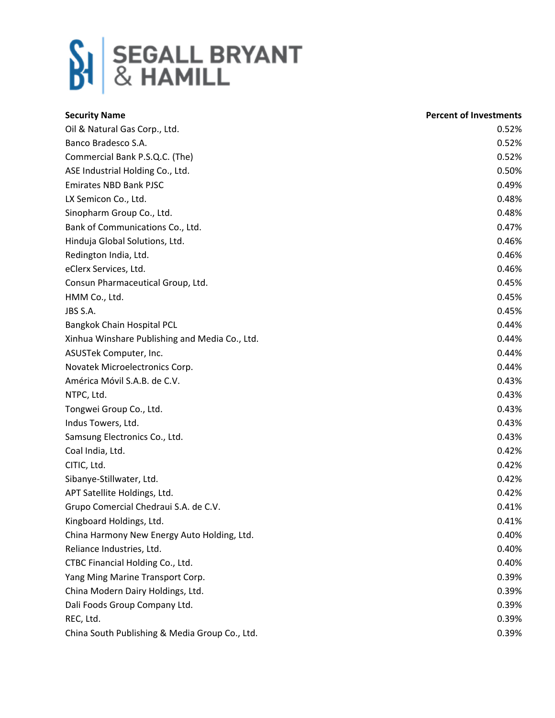

| <b>Security Name</b>                           | <b>Percent of Investments</b> |
|------------------------------------------------|-------------------------------|
| Oil & Natural Gas Corp., Ltd.                  | 0.52%                         |
| Banco Bradesco S.A.                            | 0.52%                         |
| Commercial Bank P.S.Q.C. (The)                 | 0.52%                         |
| ASE Industrial Holding Co., Ltd.               | 0.50%                         |
| <b>Emirates NBD Bank PJSC</b>                  | 0.49%                         |
| LX Semicon Co., Ltd.                           | 0.48%                         |
| Sinopharm Group Co., Ltd.                      | 0.48%                         |
| Bank of Communications Co., Ltd.               | 0.47%                         |
| Hinduja Global Solutions, Ltd.                 | 0.46%                         |
| Redington India, Ltd.                          | 0.46%                         |
| eClerx Services, Ltd.                          | 0.46%                         |
| Consun Pharmaceutical Group, Ltd.              | 0.45%                         |
| HMM Co., Ltd.                                  | 0.45%                         |
| JBS S.A.                                       | 0.45%                         |
| Bangkok Chain Hospital PCL                     | 0.44%                         |
| Xinhua Winshare Publishing and Media Co., Ltd. | 0.44%                         |
| ASUSTek Computer, Inc.                         | 0.44%                         |
| Novatek Microelectronics Corp.                 | 0.44%                         |
| América Móvil S.A.B. de C.V.                   | 0.43%                         |
| NTPC, Ltd.                                     | 0.43%                         |
| Tongwei Group Co., Ltd.                        | 0.43%                         |
| Indus Towers, Ltd.                             | 0.43%                         |
| Samsung Electronics Co., Ltd.                  | 0.43%                         |
| Coal India, Ltd.                               | 0.42%                         |
| CITIC, Ltd.                                    | 0.42%                         |
| Sibanye-Stillwater, Ltd.                       | 0.42%                         |
| APT Satellite Holdings, Ltd.                   | 0.42%                         |
| Grupo Comercial Chedraui S.A. de C.V.          | 0.41%                         |
| Kingboard Holdings, Ltd.                       | 0.41%                         |
| China Harmony New Energy Auto Holding, Ltd.    | 0.40%                         |
| Reliance Industries, Ltd.                      | 0.40%                         |
| CTBC Financial Holding Co., Ltd.               | 0.40%                         |
| Yang Ming Marine Transport Corp.               | 0.39%                         |
| China Modern Dairy Holdings, Ltd.              | 0.39%                         |
| Dali Foods Group Company Ltd.                  | 0.39%                         |
| REC, Ltd.                                      | 0.39%                         |
| China South Publishing & Media Group Co., Ltd. | 0.39%                         |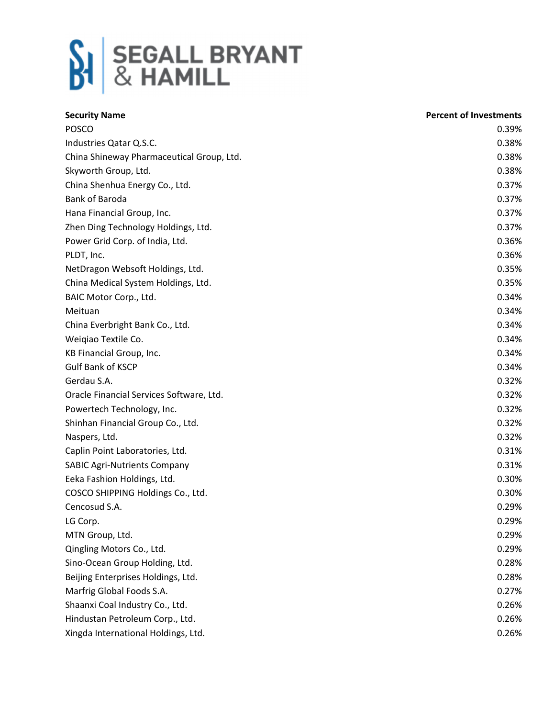

| <b>Security Name</b>                      | <b>Percent of Investments</b> |
|-------------------------------------------|-------------------------------|
| <b>POSCO</b>                              | 0.39%                         |
| Industries Qatar Q.S.C.                   | 0.38%                         |
| China Shineway Pharmaceutical Group, Ltd. | 0.38%                         |
| Skyworth Group, Ltd.                      | 0.38%                         |
| China Shenhua Energy Co., Ltd.            | 0.37%                         |
| <b>Bank of Baroda</b>                     | 0.37%                         |
| Hana Financial Group, Inc.                | 0.37%                         |
| Zhen Ding Technology Holdings, Ltd.       | 0.37%                         |
| Power Grid Corp. of India, Ltd.           | 0.36%                         |
| PLDT, Inc.                                | 0.36%                         |
| NetDragon Websoft Holdings, Ltd.          | 0.35%                         |
| China Medical System Holdings, Ltd.       | 0.35%                         |
| BAIC Motor Corp., Ltd.                    | 0.34%                         |
| Meituan                                   | 0.34%                         |
| China Everbright Bank Co., Ltd.           | 0.34%                         |
| Weigiao Textile Co.                       | 0.34%                         |
| KB Financial Group, Inc.                  | 0.34%                         |
| <b>Gulf Bank of KSCP</b>                  | 0.34%                         |
| Gerdau S.A.                               | 0.32%                         |
| Oracle Financial Services Software, Ltd.  | 0.32%                         |
| Powertech Technology, Inc.                | 0.32%                         |
| Shinhan Financial Group Co., Ltd.         | 0.32%                         |
| Naspers, Ltd.                             | 0.32%                         |
| Caplin Point Laboratories, Ltd.           | 0.31%                         |
| <b>SABIC Agri-Nutrients Company</b>       | 0.31%                         |
| Eeka Fashion Holdings, Ltd.               | 0.30%                         |
| COSCO SHIPPING Holdings Co., Ltd.         | 0.30%                         |
| Cencosud S.A.                             | 0.29%                         |
| LG Corp.                                  | 0.29%                         |
| MTN Group, Ltd.                           | 0.29%                         |
| Qingling Motors Co., Ltd.                 | 0.29%                         |
| Sino-Ocean Group Holding, Ltd.            | 0.28%                         |
| Beijing Enterprises Holdings, Ltd.        | 0.28%                         |
| Marfrig Global Foods S.A.                 | 0.27%                         |
| Shaanxi Coal Industry Co., Ltd.           | 0.26%                         |
| Hindustan Petroleum Corp., Ltd.           | 0.26%                         |
| Xingda International Holdings, Ltd.       | 0.26%                         |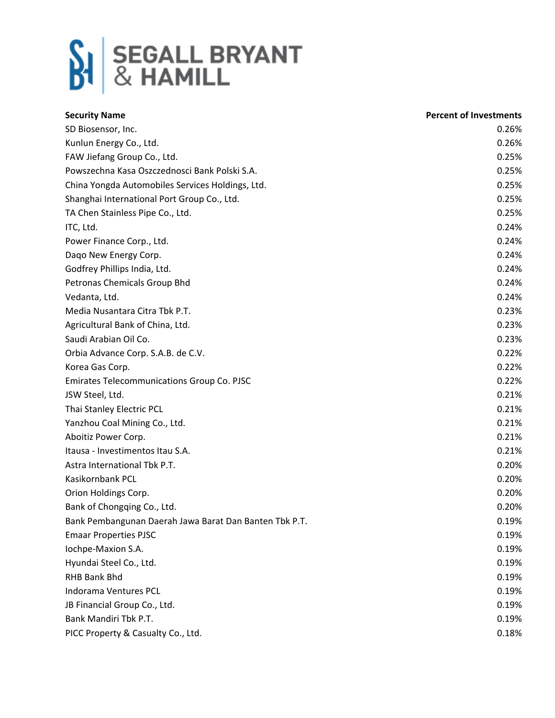

| <b>Security Name</b>                                   | <b>Percent of Investments</b> |
|--------------------------------------------------------|-------------------------------|
| SD Biosensor, Inc.                                     | 0.26%                         |
| Kunlun Energy Co., Ltd.                                | 0.26%                         |
| FAW Jiefang Group Co., Ltd.                            | 0.25%                         |
| Powszechna Kasa Oszczednosci Bank Polski S.A.          | 0.25%                         |
| China Yongda Automobiles Services Holdings, Ltd.       | 0.25%                         |
| Shanghai International Port Group Co., Ltd.            | 0.25%                         |
| TA Chen Stainless Pipe Co., Ltd.                       | 0.25%                         |
| ITC, Ltd.                                              | 0.24%                         |
| Power Finance Corp., Ltd.                              | 0.24%                         |
| Dago New Energy Corp.                                  | 0.24%                         |
| Godfrey Phillips India, Ltd.                           | 0.24%                         |
| Petronas Chemicals Group Bhd                           | 0.24%                         |
| Vedanta, Ltd.                                          | 0.24%                         |
| Media Nusantara Citra Tbk P.T.                         | 0.23%                         |
| Agricultural Bank of China, Ltd.                       | 0.23%                         |
| Saudi Arabian Oil Co.                                  | 0.23%                         |
| Orbia Advance Corp. S.A.B. de C.V.                     | 0.22%                         |
| Korea Gas Corp.                                        | 0.22%                         |
| <b>Emirates Telecommunications Group Co. PJSC</b>      | 0.22%                         |
| JSW Steel, Ltd.                                        | 0.21%                         |
| Thai Stanley Electric PCL                              | 0.21%                         |
| Yanzhou Coal Mining Co., Ltd.                          | 0.21%                         |
| Aboitiz Power Corp.                                    | 0.21%                         |
| Itausa - Investimentos Itau S.A.                       | 0.21%                         |
| Astra International Tbk P.T.                           | 0.20%                         |
| Kasikornbank PCL                                       | 0.20%                         |
| Orion Holdings Corp.                                   | 0.20%                         |
| Bank of Chongqing Co., Ltd.                            | 0.20%                         |
| Bank Pembangunan Daerah Jawa Barat Dan Banten Tbk P.T. | 0.19%                         |
| <b>Emaar Properties PJSC</b>                           | 0.19%                         |
| Iochpe-Maxion S.A.                                     | 0.19%                         |
| Hyundai Steel Co., Ltd.                                | 0.19%                         |
| RHB Bank Bhd                                           | 0.19%                         |
| Indorama Ventures PCL                                  | 0.19%                         |
| JB Financial Group Co., Ltd.                           | 0.19%                         |
| Bank Mandiri Tbk P.T.                                  | 0.19%                         |
| PICC Property & Casualty Co., Ltd.                     | 0.18%                         |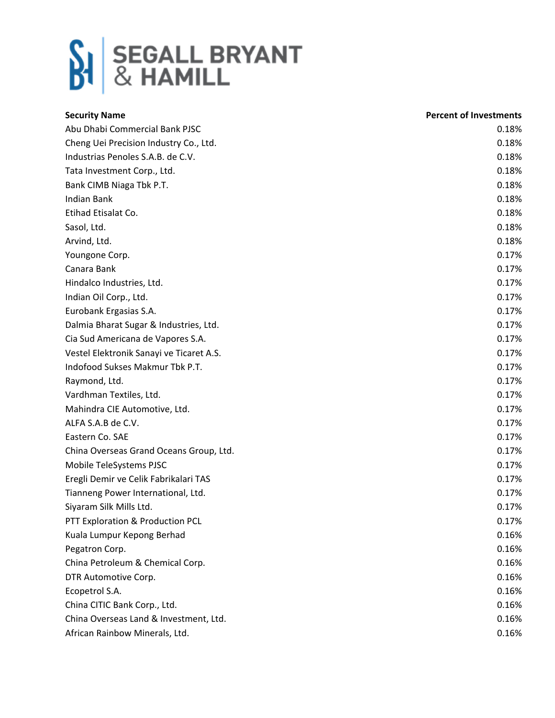

| <b>Security Name</b>                     | <b>Percent of Investments</b> |
|------------------------------------------|-------------------------------|
| Abu Dhabi Commercial Bank PJSC           | 0.18%                         |
| Cheng Uei Precision Industry Co., Ltd.   | 0.18%                         |
| Industrias Penoles S.A.B. de C.V.        | 0.18%                         |
| Tata Investment Corp., Ltd.              | 0.18%                         |
| Bank CIMB Niaga Tbk P.T.                 | 0.18%                         |
| <b>Indian Bank</b>                       | 0.18%                         |
| Etihad Etisalat Co.                      | 0.18%                         |
| Sasol, Ltd.                              | 0.18%                         |
| Arvind, Ltd.                             | 0.18%                         |
| Youngone Corp.                           | 0.17%                         |
| Canara Bank                              | 0.17%                         |
| Hindalco Industries, Ltd.                | 0.17%                         |
| Indian Oil Corp., Ltd.                   | 0.17%                         |
| Eurobank Ergasias S.A.                   | 0.17%                         |
| Dalmia Bharat Sugar & Industries, Ltd.   | 0.17%                         |
| Cia Sud Americana de Vapores S.A.        | 0.17%                         |
| Vestel Elektronik Sanayi ve Ticaret A.S. | 0.17%                         |
| Indofood Sukses Makmur Tbk P.T.          | 0.17%                         |
| Raymond, Ltd.                            | 0.17%                         |
| Vardhman Textiles, Ltd.                  | 0.17%                         |
| Mahindra CIE Automotive, Ltd.            | 0.17%                         |
| ALFA S.A.B de C.V.                       | 0.17%                         |
| Eastern Co. SAE                          | 0.17%                         |
| China Overseas Grand Oceans Group, Ltd.  | 0.17%                         |
| Mobile TeleSystems PJSC                  | 0.17%                         |
| Eregli Demir ve Celik Fabrikalari TAS    | 0.17%                         |
| Tianneng Power International, Ltd.       | 0.17%                         |
| Siyaram Silk Mills Ltd.                  | 0.17%                         |
| PTT Exploration & Production PCL         | 0.17%                         |
| Kuala Lumpur Kepong Berhad               | 0.16%                         |
| Pegatron Corp.                           | 0.16%                         |
| China Petroleum & Chemical Corp.         | 0.16%                         |
| DTR Automotive Corp.                     | 0.16%                         |
| Ecopetrol S.A.                           | 0.16%                         |
| China CITIC Bank Corp., Ltd.             | 0.16%                         |
| China Overseas Land & Investment, Ltd.   | 0.16%                         |
| African Rainbow Minerals, Ltd.           | 0.16%                         |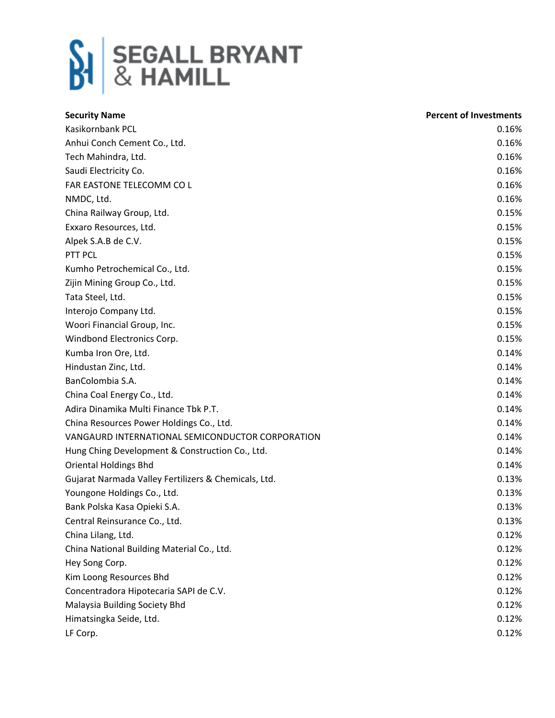

| <b>Security Name</b>                                 | <b>Percent of Investments</b> |
|------------------------------------------------------|-------------------------------|
| Kasikornbank PCL                                     | 0.16%                         |
| Anhui Conch Cement Co., Ltd.                         | 0.16%                         |
| Tech Mahindra, Ltd.                                  | 0.16%                         |
| Saudi Electricity Co.                                | 0.16%                         |
| FAR EASTONE TELECOMM CO L                            | 0.16%                         |
| NMDC, Ltd.                                           | 0.16%                         |
| China Railway Group, Ltd.                            | 0.15%                         |
| Exxaro Resources, Ltd.                               | 0.15%                         |
| Alpek S.A.B de C.V.                                  | 0.15%                         |
| PTT PCL                                              | 0.15%                         |
| Kumho Petrochemical Co., Ltd.                        | 0.15%                         |
| Zijin Mining Group Co., Ltd.                         | 0.15%                         |
| Tata Steel, Ltd.                                     | 0.15%                         |
| Interojo Company Ltd.                                | 0.15%                         |
| Woori Financial Group, Inc.                          | 0.15%                         |
| Windbond Electronics Corp.                           | 0.15%                         |
| Kumba Iron Ore, Ltd.                                 | 0.14%                         |
| Hindustan Zinc, Ltd.                                 | 0.14%                         |
| BanColombia S.A.                                     | 0.14%                         |
| China Coal Energy Co., Ltd.                          | 0.14%                         |
| Adira Dinamika Multi Finance Tbk P.T.                | 0.14%                         |
| China Resources Power Holdings Co., Ltd.             | 0.14%                         |
| VANGAURD INTERNATIONAL SEMICONDUCTOR CORPORATION     | 0.14%                         |
| Hung Ching Development & Construction Co., Ltd.      | 0.14%                         |
| <b>Oriental Holdings Bhd</b>                         | 0.14%                         |
| Gujarat Narmada Valley Fertilizers & Chemicals, Ltd. | 0.13%                         |
| Youngone Holdings Co., Ltd.                          | 0.13%                         |
| Bank Polska Kasa Opieki S.A.                         | 0.13%                         |
| Central Reinsurance Co., Ltd.                        | 0.13%                         |
| China Lilang, Ltd.                                   | 0.12%                         |
| China National Building Material Co., Ltd.           | 0.12%                         |
| Hey Song Corp.                                       | 0.12%                         |
| Kim Loong Resources Bhd                              | 0.12%                         |
| Concentradora Hipotecaria SAPI de C.V.               | 0.12%                         |
| Malaysia Building Society Bhd                        | 0.12%                         |
| Himatsingka Seide, Ltd.                              | 0.12%                         |
| LF Corp.                                             | 0.12%                         |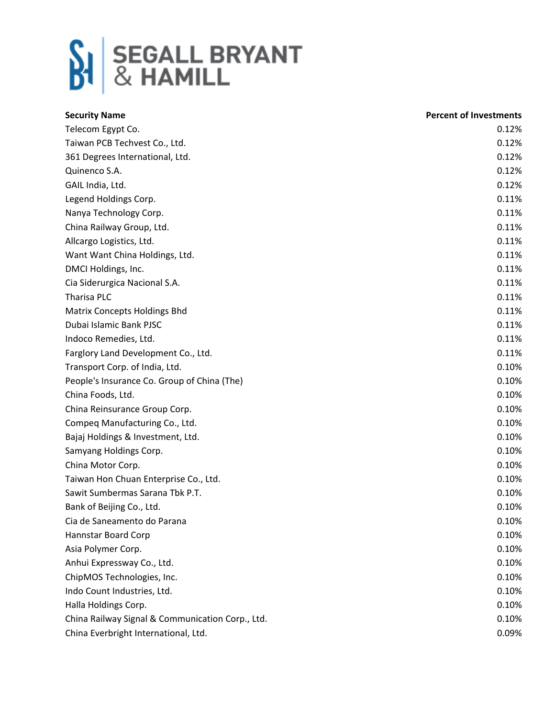

| <b>Security Name</b>                             | <b>Percent of Investments</b> |
|--------------------------------------------------|-------------------------------|
| Telecom Egypt Co.                                | 0.12%                         |
| Taiwan PCB Techvest Co., Ltd.                    | 0.12%                         |
| 361 Degrees International, Ltd.                  | 0.12%                         |
| Quinenco S.A.                                    | 0.12%                         |
| GAIL India, Ltd.                                 | 0.12%                         |
| Legend Holdings Corp.                            | 0.11%                         |
| Nanya Technology Corp.                           | 0.11%                         |
| China Railway Group, Ltd.                        | 0.11%                         |
| Allcargo Logistics, Ltd.                         | 0.11%                         |
| Want Want China Holdings, Ltd.                   | 0.11%                         |
| DMCI Holdings, Inc.                              | 0.11%                         |
| Cia Siderurgica Nacional S.A.                    | 0.11%                         |
| Tharisa PLC                                      | 0.11%                         |
| <b>Matrix Concepts Holdings Bhd</b>              | 0.11%                         |
| Dubai Islamic Bank PJSC                          | 0.11%                         |
| Indoco Remedies, Ltd.                            | 0.11%                         |
| Farglory Land Development Co., Ltd.              | 0.11%                         |
| Transport Corp. of India, Ltd.                   | 0.10%                         |
| People's Insurance Co. Group of China (The)      | 0.10%                         |
| China Foods, Ltd.                                | 0.10%                         |
| China Reinsurance Group Corp.                    | 0.10%                         |
| Compeq Manufacturing Co., Ltd.                   | 0.10%                         |
| Bajaj Holdings & Investment, Ltd.                | 0.10%                         |
| Samyang Holdings Corp.                           | 0.10%                         |
| China Motor Corp.                                | 0.10%                         |
| Taiwan Hon Chuan Enterprise Co., Ltd.            | 0.10%                         |
| Sawit Sumbermas Sarana Tbk P.T.                  | 0.10%                         |
| Bank of Beijing Co., Ltd.                        | 0.10%                         |
| Cia de Saneamento do Parana                      | 0.10%                         |
| Hannstar Board Corp                              | 0.10%                         |
| Asia Polymer Corp.                               | 0.10%                         |
| Anhui Expressway Co., Ltd.                       | 0.10%                         |
| ChipMOS Technologies, Inc.                       | 0.10%                         |
| Indo Count Industries, Ltd.                      | 0.10%                         |
| Halla Holdings Corp.                             | 0.10%                         |
| China Railway Signal & Communication Corp., Ltd. | 0.10%                         |
| China Everbright International, Ltd.             | 0.09%                         |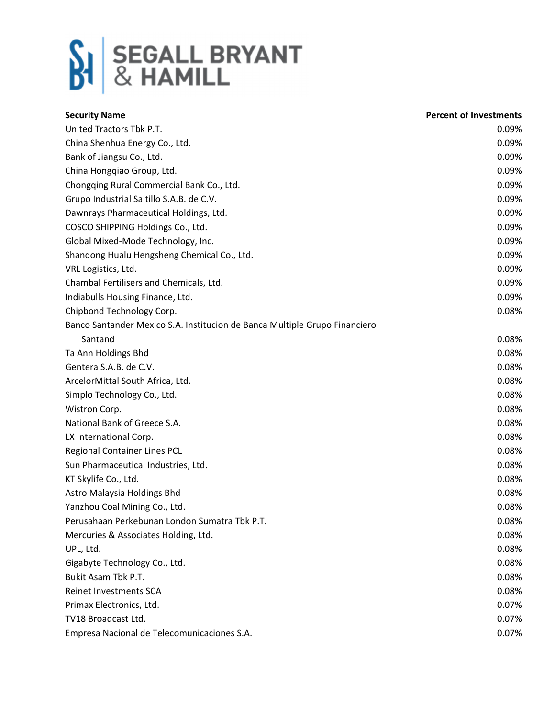

| <b>Security Name</b>                                                       | <b>Percent of Investments</b> |
|----------------------------------------------------------------------------|-------------------------------|
| United Tractors Tbk P.T.                                                   | 0.09%                         |
| China Shenhua Energy Co., Ltd.                                             | 0.09%                         |
| Bank of Jiangsu Co., Ltd.                                                  | 0.09%                         |
| China Hongqiao Group, Ltd.                                                 | 0.09%                         |
| Chongqing Rural Commercial Bank Co., Ltd.                                  | 0.09%                         |
| Grupo Industrial Saltillo S.A.B. de C.V.                                   | 0.09%                         |
| Dawnrays Pharmaceutical Holdings, Ltd.                                     | 0.09%                         |
| COSCO SHIPPING Holdings Co., Ltd.                                          | 0.09%                         |
| Global Mixed-Mode Technology, Inc.                                         | 0.09%                         |
| Shandong Hualu Hengsheng Chemical Co., Ltd.                                | 0.09%                         |
| VRL Logistics, Ltd.                                                        | 0.09%                         |
| Chambal Fertilisers and Chemicals, Ltd.                                    | 0.09%                         |
| Indiabulls Housing Finance, Ltd.                                           | 0.09%                         |
| Chipbond Technology Corp.                                                  | 0.08%                         |
| Banco Santander Mexico S.A. Institucion de Banca Multiple Grupo Financiero |                               |
| Santand                                                                    | 0.08%                         |
| Ta Ann Holdings Bhd                                                        | 0.08%                         |
| Gentera S.A.B. de C.V.                                                     | 0.08%                         |
| ArcelorMittal South Africa, Ltd.                                           | 0.08%                         |
| Simplo Technology Co., Ltd.                                                | 0.08%                         |
| Wistron Corp.                                                              | 0.08%                         |
| National Bank of Greece S.A.                                               | 0.08%                         |
| LX International Corp.                                                     | 0.08%                         |
| Regional Container Lines PCL                                               | 0.08%                         |
| Sun Pharmaceutical Industries, Ltd.                                        | 0.08%                         |
| KT Skylife Co., Ltd.                                                       | 0.08%                         |
| Astro Malaysia Holdings Bhd                                                | 0.08%                         |
| Yanzhou Coal Mining Co., Ltd.                                              | 0.08%                         |
| Perusahaan Perkebunan London Sumatra Tbk P.T.                              | 0.08%                         |
| Mercuries & Associates Holding, Ltd.                                       | 0.08%                         |
| UPL, Ltd.                                                                  | 0.08%                         |
| Gigabyte Technology Co., Ltd.                                              | 0.08%                         |
| Bukit Asam Tbk P.T.                                                        | 0.08%                         |
| <b>Reinet Investments SCA</b>                                              | 0.08%                         |
| Primax Electronics, Ltd.                                                   | 0.07%                         |
| TV18 Broadcast Ltd.                                                        | 0.07%                         |
| Empresa Nacional de Telecomunicaciones S.A.                                | 0.07%                         |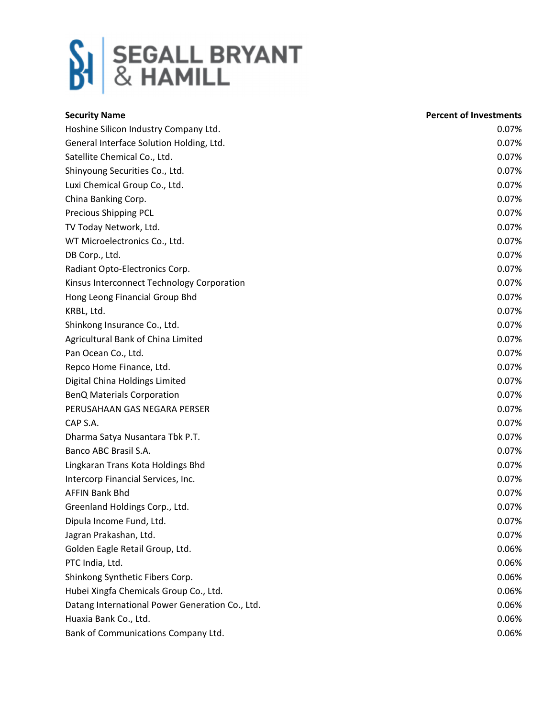

| <b>Security Name</b>                            | <b>Percent of Investments</b> |
|-------------------------------------------------|-------------------------------|
| Hoshine Silicon Industry Company Ltd.           | 0.07%                         |
| General Interface Solution Holding, Ltd.        | 0.07%                         |
| Satellite Chemical Co., Ltd.                    | 0.07%                         |
| Shinyoung Securities Co., Ltd.                  | 0.07%                         |
| Luxi Chemical Group Co., Ltd.                   | 0.07%                         |
| China Banking Corp.                             | 0.07%                         |
| Precious Shipping PCL                           | 0.07%                         |
| TV Today Network, Ltd.                          | 0.07%                         |
| WT Microelectronics Co., Ltd.                   | 0.07%                         |
| DB Corp., Ltd.                                  | 0.07%                         |
| Radiant Opto-Electronics Corp.                  | 0.07%                         |
| Kinsus Interconnect Technology Corporation      | 0.07%                         |
| Hong Leong Financial Group Bhd                  | 0.07%                         |
| KRBL, Ltd.                                      | 0.07%                         |
| Shinkong Insurance Co., Ltd.                    | 0.07%                         |
| Agricultural Bank of China Limited              | 0.07%                         |
| Pan Ocean Co., Ltd.                             | 0.07%                         |
| Repco Home Finance, Ltd.                        | 0.07%                         |
| Digital China Holdings Limited                  | 0.07%                         |
| <b>BenQ Materials Corporation</b>               | 0.07%                         |
| PERUSAHAAN GAS NEGARA PERSER                    | 0.07%                         |
| CAP S.A.                                        | 0.07%                         |
| Dharma Satya Nusantara Tbk P.T.                 | 0.07%                         |
| Banco ABC Brasil S.A.                           | 0.07%                         |
| Lingkaran Trans Kota Holdings Bhd               | 0.07%                         |
| Intercorp Financial Services, Inc.              | 0.07%                         |
| <b>AFFIN Bank Bhd</b>                           | 0.07%                         |
| Greenland Holdings Corp., Ltd.                  | 0.07%                         |
| Dipula Income Fund, Ltd.                        | 0.07%                         |
| Jagran Prakashan, Ltd.                          | 0.07%                         |
| Golden Eagle Retail Group, Ltd.                 | 0.06%                         |
| PTC India, Ltd.                                 | 0.06%                         |
| Shinkong Synthetic Fibers Corp.                 | 0.06%                         |
| Hubei Xingfa Chemicals Group Co., Ltd.          | 0.06%                         |
| Datang International Power Generation Co., Ltd. | 0.06%                         |
| Huaxia Bank Co., Ltd.                           | 0.06%                         |
| Bank of Communications Company Ltd.             | 0.06%                         |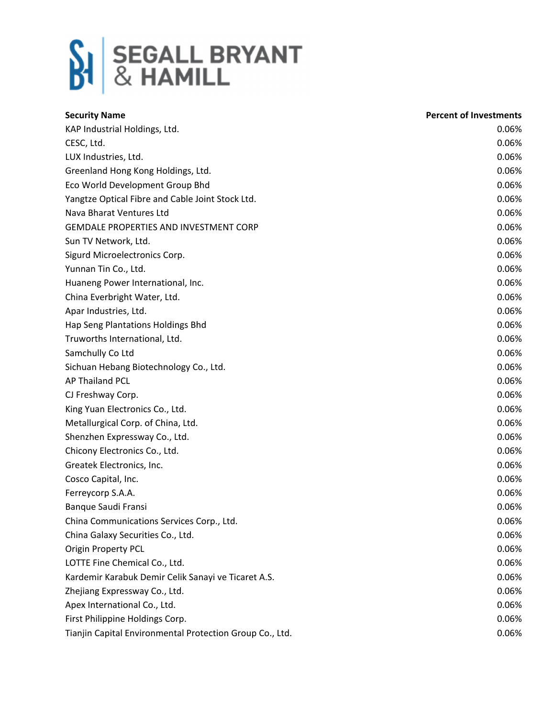

| <b>Security Name</b>                                     | <b>Percent of Investments</b> |
|----------------------------------------------------------|-------------------------------|
| KAP Industrial Holdings, Ltd.                            | 0.06%                         |
| CESC, Ltd.                                               | 0.06%                         |
| LUX Industries, Ltd.                                     | 0.06%                         |
| Greenland Hong Kong Holdings, Ltd.                       | 0.06%                         |
| Eco World Development Group Bhd                          | 0.06%                         |
| Yangtze Optical Fibre and Cable Joint Stock Ltd.         | 0.06%                         |
| Nava Bharat Ventures Ltd                                 | 0.06%                         |
| GEMDALE PROPERTIES AND INVESTMENT CORP                   | 0.06%                         |
| Sun TV Network, Ltd.                                     | 0.06%                         |
| Sigurd Microelectronics Corp.                            | 0.06%                         |
| Yunnan Tin Co., Ltd.                                     | 0.06%                         |
| Huaneng Power International, Inc.                        | 0.06%                         |
| China Everbright Water, Ltd.                             | 0.06%                         |
| Apar Industries, Ltd.                                    | 0.06%                         |
| Hap Seng Plantations Holdings Bhd                        | 0.06%                         |
| Truworths International, Ltd.                            | 0.06%                         |
| Samchully Co Ltd                                         | 0.06%                         |
| Sichuan Hebang Biotechnology Co., Ltd.                   | 0.06%                         |
| <b>AP Thailand PCL</b>                                   | 0.06%                         |
| CJ Freshway Corp.                                        | 0.06%                         |
| King Yuan Electronics Co., Ltd.                          | 0.06%                         |
| Metallurgical Corp. of China, Ltd.                       | 0.06%                         |
| Shenzhen Expressway Co., Ltd.                            | 0.06%                         |
| Chicony Electronics Co., Ltd.                            | 0.06%                         |
| Greatek Electronics, Inc.                                | 0.06%                         |
| Cosco Capital, Inc.                                      | 0.06%                         |
| Ferreycorp S.A.A.                                        | 0.06%                         |
| Banque Saudi Fransi                                      | 0.06%                         |
| China Communications Services Corp., Ltd.                | 0.06%                         |
| China Galaxy Securities Co., Ltd.                        | 0.06%                         |
| <b>Origin Property PCL</b>                               | 0.06%                         |
| LOTTE Fine Chemical Co., Ltd.                            | 0.06%                         |
| Kardemir Karabuk Demir Celik Sanayi ve Ticaret A.S.      | 0.06%                         |
| Zhejiang Expressway Co., Ltd.                            | 0.06%                         |
| Apex International Co., Ltd.                             | 0.06%                         |
| First Philippine Holdings Corp.                          | 0.06%                         |
| Tianjin Capital Environmental Protection Group Co., Ltd. | 0.06%                         |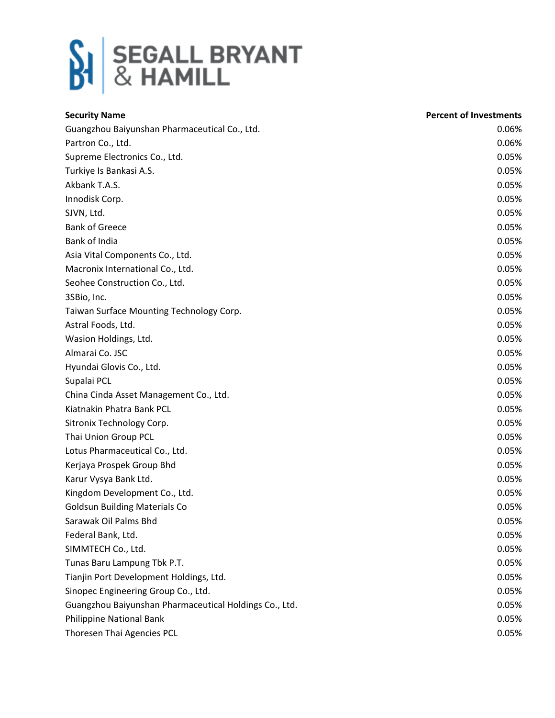

| <b>Security Name</b>                                   | <b>Percent of Investments</b> |
|--------------------------------------------------------|-------------------------------|
| Guangzhou Baiyunshan Pharmaceutical Co., Ltd.          | 0.06%                         |
| Partron Co., Ltd.                                      | 0.06%                         |
| Supreme Electronics Co., Ltd.                          | 0.05%                         |
| Turkiye Is Bankasi A.S.                                | 0.05%                         |
| Akbank T.A.S.                                          | 0.05%                         |
| Innodisk Corp.                                         | 0.05%                         |
| SJVN, Ltd.                                             | 0.05%                         |
| <b>Bank of Greece</b>                                  | 0.05%                         |
| Bank of India                                          | 0.05%                         |
| Asia Vital Components Co., Ltd.                        | 0.05%                         |
| Macronix International Co., Ltd.                       | 0.05%                         |
| Seohee Construction Co., Ltd.                          | 0.05%                         |
| 3SBio, Inc.                                            | 0.05%                         |
| Taiwan Surface Mounting Technology Corp.               | 0.05%                         |
| Astral Foods, Ltd.                                     | 0.05%                         |
| Wasion Holdings, Ltd.                                  | 0.05%                         |
| Almarai Co. JSC                                        | 0.05%                         |
| Hyundai Glovis Co., Ltd.                               | 0.05%                         |
| Supalai PCL                                            | 0.05%                         |
| China Cinda Asset Management Co., Ltd.                 | 0.05%                         |
| Kiatnakin Phatra Bank PCL                              | 0.05%                         |
| Sitronix Technology Corp.                              | 0.05%                         |
| Thai Union Group PCL                                   | 0.05%                         |
| Lotus Pharmaceutical Co., Ltd.                         | 0.05%                         |
| Kerjaya Prospek Group Bhd                              | 0.05%                         |
| Karur Vysya Bank Ltd.                                  | 0.05%                         |
| Kingdom Development Co., Ltd.                          | 0.05%                         |
| <b>Goldsun Building Materials Co</b>                   | 0.05%                         |
| Sarawak Oil Palms Bhd                                  | 0.05%                         |
| Federal Bank, Ltd.                                     | 0.05%                         |
| SIMMTECH Co., Ltd.                                     | 0.05%                         |
| Tunas Baru Lampung Tbk P.T.                            | 0.05%                         |
| Tianjin Port Development Holdings, Ltd.                | 0.05%                         |
| Sinopec Engineering Group Co., Ltd.                    | 0.05%                         |
| Guangzhou Baiyunshan Pharmaceutical Holdings Co., Ltd. | 0.05%                         |
| Philippine National Bank                               | 0.05%                         |
| Thoresen Thai Agencies PCL                             | 0.05%                         |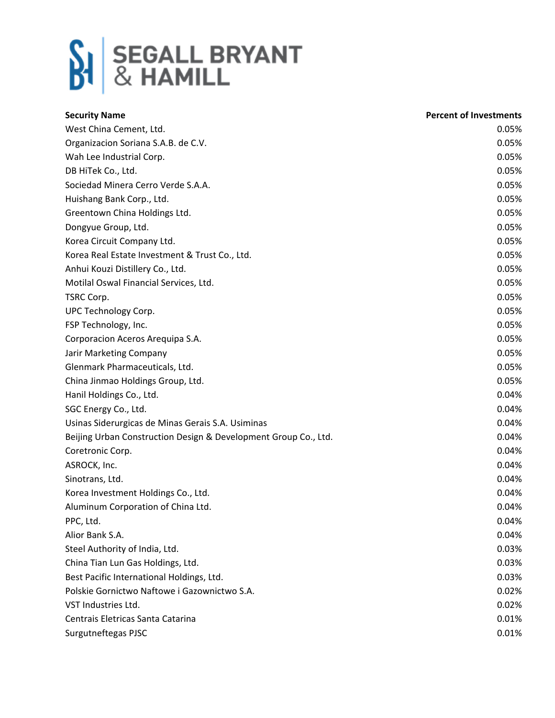

| <b>Security Name</b>                                            | <b>Percent of Investments</b> |
|-----------------------------------------------------------------|-------------------------------|
| West China Cement, Ltd.                                         | 0.05%                         |
| Organizacion Soriana S.A.B. de C.V.                             | 0.05%                         |
| Wah Lee Industrial Corp.                                        | 0.05%                         |
| DB HiTek Co., Ltd.                                              | 0.05%                         |
| Sociedad Minera Cerro Verde S.A.A.                              | 0.05%                         |
| Huishang Bank Corp., Ltd.                                       | 0.05%                         |
| Greentown China Holdings Ltd.                                   | 0.05%                         |
| Dongyue Group, Ltd.                                             | 0.05%                         |
| Korea Circuit Company Ltd.                                      | 0.05%                         |
| Korea Real Estate Investment & Trust Co., Ltd.                  | 0.05%                         |
| Anhui Kouzi Distillery Co., Ltd.                                | 0.05%                         |
| Motilal Oswal Financial Services, Ltd.                          | 0.05%                         |
| TSRC Corp.                                                      | 0.05%                         |
| UPC Technology Corp.                                            | 0.05%                         |
| FSP Technology, Inc.                                            | 0.05%                         |
| Corporacion Aceros Arequipa S.A.                                | 0.05%                         |
| Jarir Marketing Company                                         | 0.05%                         |
| Glenmark Pharmaceuticals, Ltd.                                  | 0.05%                         |
| China Jinmao Holdings Group, Ltd.                               | 0.05%                         |
| Hanil Holdings Co., Ltd.                                        | 0.04%                         |
| SGC Energy Co., Ltd.                                            | 0.04%                         |
| Usinas Siderurgicas de Minas Gerais S.A. Usiminas               | 0.04%                         |
| Beijing Urban Construction Design & Development Group Co., Ltd. | 0.04%                         |
| Coretronic Corp.                                                | 0.04%                         |
| ASROCK, Inc.                                                    | 0.04%                         |
| Sinotrans, Ltd.                                                 | 0.04%                         |
| Korea Investment Holdings Co., Ltd.                             | 0.04%                         |
| Aluminum Corporation of China Ltd.                              | 0.04%                         |
| PPC, Ltd.                                                       | 0.04%                         |
| Alior Bank S.A.                                                 | 0.04%                         |
| Steel Authority of India, Ltd.                                  | 0.03%                         |
| China Tian Lun Gas Holdings, Ltd.                               | 0.03%                         |
| Best Pacific International Holdings, Ltd.                       | 0.03%                         |
| Polskie Gornictwo Naftowe i Gazownictwo S.A.                    | 0.02%                         |
| VST Industries Ltd.                                             | 0.02%                         |
| Centrais Eletricas Santa Catarina                               | 0.01%                         |
| Surgutneftegas PJSC                                             | 0.01%                         |